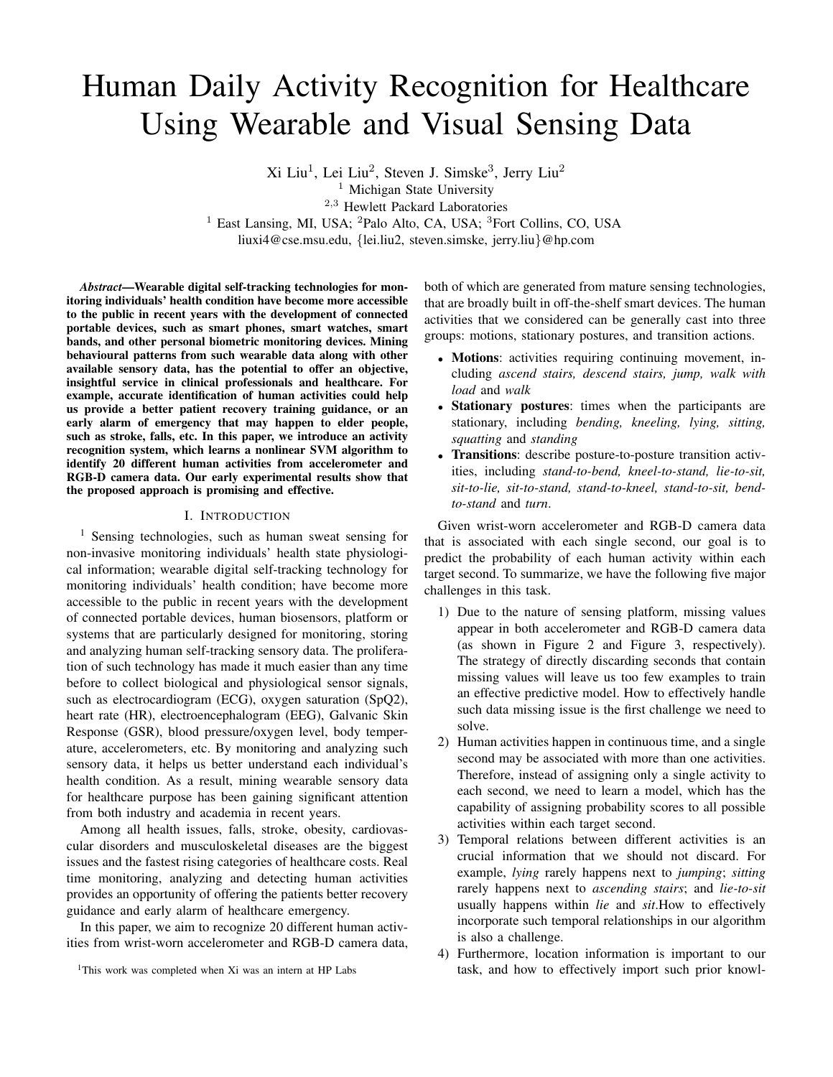# Human Daily Activity Recognition for Healthcare Using Wearable and Visual Sensing Data

 $Xi$  Liu<sup>1</sup>, Lei Liu<sup>2</sup>, Steven J. Simske<sup>3</sup>, Jerry Liu<sup>2</sup>

<sup>1</sup> Michigan State University

<sup>2</sup>*,*<sup>3</sup> Hewlett Packard Laboratories

<sup>1</sup> East Lansing, MI, USA; <sup>2</sup>Palo Alto, CA, USA; <sup>3</sup>Fort Collins, CO, USA

liuxi4@cse.msu.edu, *{*lei.liu2, steven.simske, jerry.liu*}*@hp.com

*Abstract*—Wearable digital self-tracking technologies for monitoring individuals' health condition have become more accessible to the public in recent years with the development of connected portable devices, such as smart phones, smart watches, smart bands, and other personal biometric monitoring devices. Mining behavioural patterns from such wearable data along with other available sensory data, has the potential to offer an objective, insightful service in clinical professionals and healthcare. For example, accurate identification of human activities could help us provide a better patient recovery training guidance, or an early alarm of emergency that may happen to elder people, such as stroke, falls, etc. In this paper, we introduce an activity recognition system, which learns a nonlinear SVM algorithm to identify 20 different human activities from accelerometer and RGB-D camera data. Our early experimental results show that the proposed approach is promising and effective.

# I. INTRODUCTION

<sup>1</sup> Sensing technologies, such as human sweat sensing for non-invasive monitoring individuals' health state physiological information; wearable digital self-tracking technology for monitoring individuals' health condition; have become more accessible to the public in recent years with the development of connected portable devices, human biosensors, platform or systems that are particularly designed for monitoring, storing and analyzing human self-tracking sensory data. The proliferation of such technology has made it much easier than any time before to collect biological and physiological sensor signals, such as electrocardiogram (ECG), oxygen saturation (SpQ2), heart rate (HR), electroencephalogram (EEG), Galvanic Skin Response (GSR), blood pressure/oxygen level, body temperature, accelerometers, etc. By monitoring and analyzing such sensory data, it helps us better understand each individual's health condition. As a result, mining wearable sensory data for healthcare purpose has been gaining significant attention from both industry and academia in recent years.

Among all health issues, falls, stroke, obesity, cardiovascular disorders and musculoskeletal diseases are the biggest issues and the fastest rising categories of healthcare costs. Real time monitoring, analyzing and detecting human activities provides an opportunity of offering the patients better recovery guidance and early alarm of healthcare emergency.

In this paper, we aim to recognize 20 different human activities from wrist-worn accelerometer and RGB-D camera data, both of which are generated from mature sensing technologies, that are broadly built in off-the-shelf smart devices. The human activities that we considered can be generally cast into three groups: motions, stationary postures, and transition actions.

- *•* Motions: activities requiring continuing movement, including *ascend stairs, descend stairs, jump, walk with load* and *walk*
- *•* Stationary postures: times when the participants are stationary, including *bending, kneeling, lying, sitting, squatting* and *standing*
- *•* Transitions: describe posture-to-posture transition activities, including *stand-to-bend, kneel-to-stand, lie-to-sit, sit-to-lie, sit-to-stand, stand-to-kneel, stand-to-sit, bendto-stand* and *turn*.

Given wrist-worn accelerometer and RGB-D camera data that is associated with each single second, our goal is to predict the probability of each human activity within each target second. To summarize, we have the following five major challenges in this task.

- 1) Due to the nature of sensing platform, missing values appear in both accelerometer and RGB-D camera data (as shown in Figure 2 and Figure 3, respectively). The strategy of directly discarding seconds that contain missing values will leave us too few examples to train an effective predictive model. How to effectively handle such data missing issue is the first challenge we need to solve.
- 2) Human activities happen in continuous time, and a single second may be associated with more than one activities. Therefore, instead of assigning only a single activity to each second, we need to learn a model, which has the capability of assigning probability scores to all possible activities within each target second.
- 3) Temporal relations between different activities is an crucial information that we should not discard. For example, *lying* rarely happens next to *jumping*; *sitting* rarely happens next to *ascending stairs*; and *lie-to-sit* usually happens within *lie* and *sit*.How to effectively incorporate such temporal relationships in our algorithm is also a challenge.
- 4) Furthermore, location information is important to our task, and how to effectively import such prior knowl-

<sup>&</sup>lt;sup>1</sup>This work was completed when Xi was an intern at HP Labs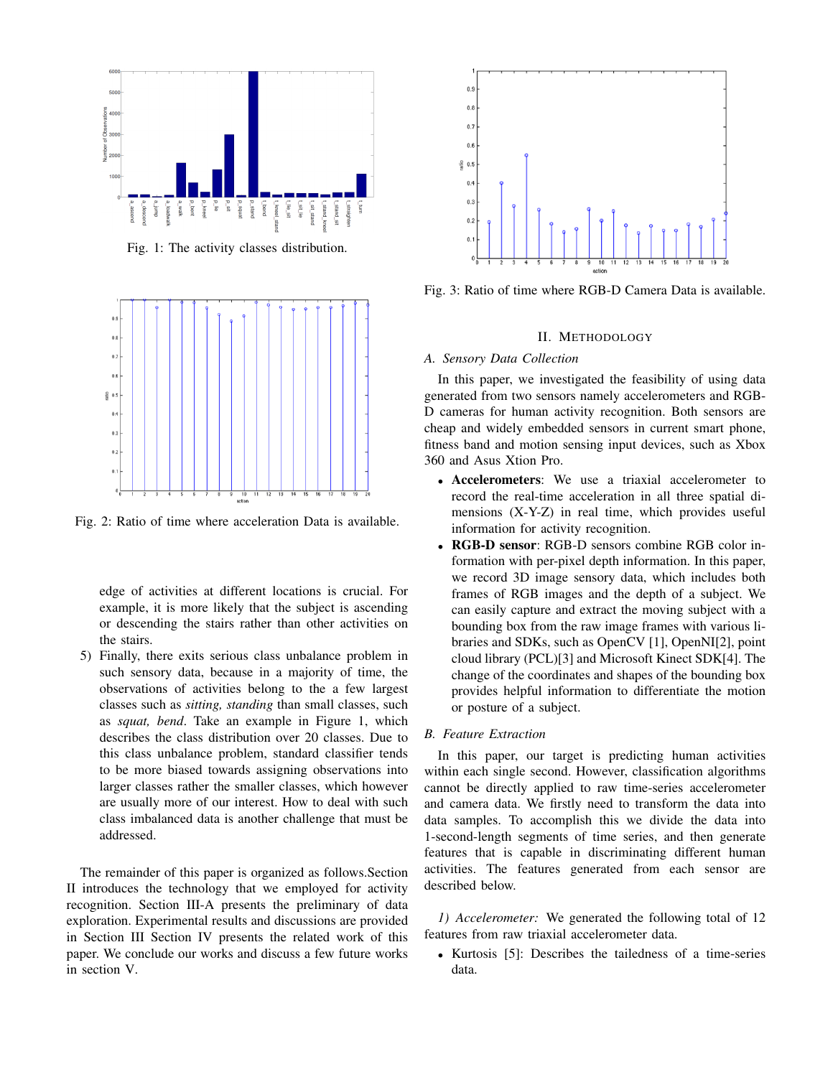

Fig. 1: The activity classes distribution.



Fig. 2: Ratio of time where acceleration Data is available.

edge of activities at different locations is crucial. For example, it is more likely that the subject is ascending or descending the stairs rather than other activities on the stairs.

5) Finally, there exits serious class unbalance problem in such sensory data, because in a majority of time, the observations of activities belong to the a few largest classes such as *sitting, standing* than small classes, such as *squat, bend*. Take an example in Figure 1, which describes the class distribution over 20 classes. Due to this class unbalance problem, standard classifier tends to be more biased towards assigning observations into larger classes rather the smaller classes, which however are usually more of our interest. How to deal with such class imbalanced data is another challenge that must be addressed.

The remainder of this paper is organized as follows.Section II introduces the technology that we employed for activity recognition. Section III-A presents the preliminary of data exploration. Experimental results and discussions are provided in Section III Section IV presents the related work of this paper. We conclude our works and discuss a few future works in section V.



Fig. 3: Ratio of time where RGB-D Camera Data is available.

## II. METHODOLOGY

# *A. Sensory Data Collection*

In this paper, we investigated the feasibility of using data generated from two sensors namely accelerometers and RGB-D cameras for human activity recognition. Both sensors are cheap and widely embedded sensors in current smart phone, fitness band and motion sensing input devices, such as Xbox 360 and Asus Xtion Pro.

- *•* Accelerometers: We use a triaxial accelerometer to record the real-time acceleration in all three spatial dimensions (X-Y-Z) in real time, which provides useful information for activity recognition.
- **RGB-D sensor:** RGB-D sensors combine RGB color information with per-pixel depth information. In this paper, we record 3D image sensory data, which includes both frames of RGB images and the depth of a subject. We can easily capture and extract the moving subject with a bounding box from the raw image frames with various libraries and SDKs, such as OpenCV [1], OpenNI[2], point cloud library (PCL)[3] and Microsoft Kinect SDK[4]. The change of the coordinates and shapes of the bounding box provides helpful information to differentiate the motion or posture of a subject.

## *B. Feature Extraction*

In this paper, our target is predicting human activities within each single second. However, classification algorithms cannot be directly applied to raw time-series accelerometer and camera data. We firstly need to transform the data into data samples. To accomplish this we divide the data into 1-second-length segments of time series, and then generate features that is capable in discriminating different human activities. The features generated from each sensor are described below.

*1) Accelerometer:* We generated the following total of 12 features from raw triaxial accelerometer data.

*•* Kurtosis [5]: Describes the tailedness of a time-series data.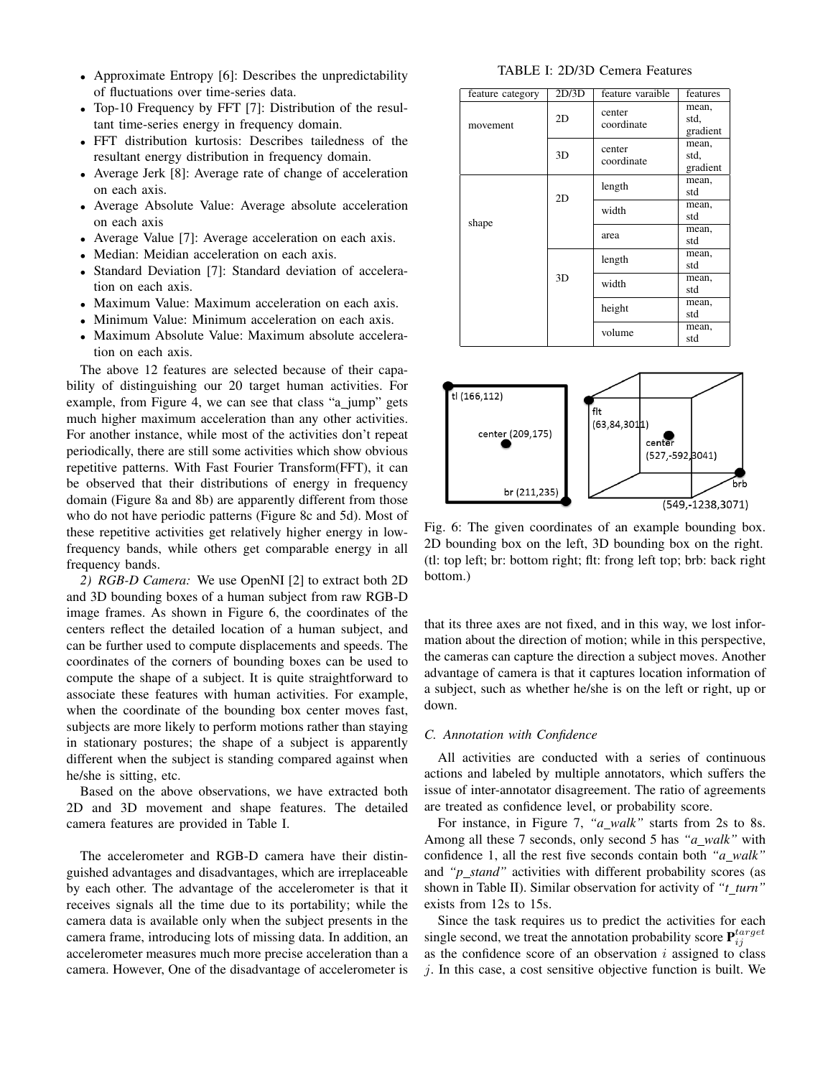- *•* Approximate Entropy [6]: Describes the unpredictability of fluctuations over time-series data.
- *•* Top-10 Frequency by FFT [7]: Distribution of the resultant time-series energy in frequency domain.
- *•* FFT distribution kurtosis: Describes tailedness of the resultant energy distribution in frequency domain.
- *•* Average Jerk [8]: Average rate of change of acceleration on each axis.
- *•* Average Absolute Value: Average absolute acceleration on each axis
- *•* Average Value [7]: Average acceleration on each axis.
- *•* Median: Meidian acceleration on each axis.
- *•* Standard Deviation [7]: Standard deviation of acceleration on each axis.
- *•* Maximum Value: Maximum acceleration on each axis.
- *•* Minimum Value: Minimum acceleration on each axis.
- *•* Maximum Absolute Value: Maximum absolute acceleration on each axis.

The above 12 features are selected because of their capability of distinguishing our 20 target human activities. For example, from Figure 4, we can see that class "a\_jump" gets much higher maximum acceleration than any other activities. For another instance, while most of the activities don't repeat periodically, there are still some activities which show obvious repetitive patterns. With Fast Fourier Transform(FFT), it can be observed that their distributions of energy in frequency domain (Figure 8a and 8b) are apparently different from those who do not have periodic patterns (Figure 8c and 5d). Most of these repetitive activities get relatively higher energy in lowfrequency bands, while others get comparable energy in all frequency bands.

*2) RGB-D Camera:* We use OpenNI [2] to extract both 2D and 3D bounding boxes of a human subject from raw RGB-D image frames. As shown in Figure 6, the coordinates of the centers reflect the detailed location of a human subject, and can be further used to compute displacements and speeds. The coordinates of the corners of bounding boxes can be used to compute the shape of a subject. It is quite straightforward to associate these features with human activities. For example, when the coordinate of the bounding box center moves fast, subjects are more likely to perform motions rather than staying in stationary postures; the shape of a subject is apparently different when the subject is standing compared against when he/she is sitting, etc.

Based on the above observations, we have extracted both 2D and 3D movement and shape features. The detailed camera features are provided in Table I.

The accelerometer and RGB-D camera have their distinguished advantages and disadvantages, which are irreplaceable by each other. The advantage of the accelerometer is that it receives signals all the time due to its portability; while the camera data is available only when the subject presents in the camera frame, introducing lots of missing data. In addition, an accelerometer measures much more precise acceleration than a camera. However, One of the disadvantage of accelerometer is

## TABLE I: 2D/3D Cemera Features

| feature category | 2D/3D | feature varaible     | features                  |
|------------------|-------|----------------------|---------------------------|
| movement         | 2D    | center<br>coordinate | mean,<br>std,<br>gradient |
|                  | 3D    | center<br>coordinate | mean,<br>std,<br>gradient |
|                  | 2D    | length               | mean,<br>std              |
|                  |       | width                | mean,<br>std              |
| shape            |       | area                 | mean,<br>std              |
|                  |       | length               | mean,<br>std              |
|                  | 3D    | width                | mean,<br>std              |
|                  |       | height               | mean,<br>std              |
|                  |       | volume               | mean,<br>std              |



Fig. 6: The given coordinates of an example bounding box. 2D bounding box on the left, 3D bounding box on the right. (tl: top left; br: bottom right; flt: frong left top; brb: back right bottom.)

that its three axes are not fixed, and in this way, we lost information about the direction of motion; while in this perspective, the cameras can capture the direction a subject moves. Another advantage of camera is that it captures location information of a subject, such as whether he/she is on the left or right, up or down.

#### *C. Annotation with Confidence*

All activities are conducted with a series of continuous actions and labeled by multiple annotators, which suffers the issue of inter-annotator disagreement. The ratio of agreements are treated as confidence level, or probability score.

For instance, in Figure 7, "a\_walk" starts from 2s to 8s. Among all these 7 seconds, only second 5 has *"a walk"* with confidence 1, all the rest five seconds contain both *"a walk"* and *"p stand"* activities with different probability scores (as shown in Table II). Similar observation for activity of *"t turn"* exists from 12s to 15s.

Since the task requires us to predict the activities for each single second, we treat the annotation probability score  $\mathbf{P}_{ij}^{target}$ as the confidence score of an observation *i* assigned to class *j*. In this case, a cost sensitive objective function is built. We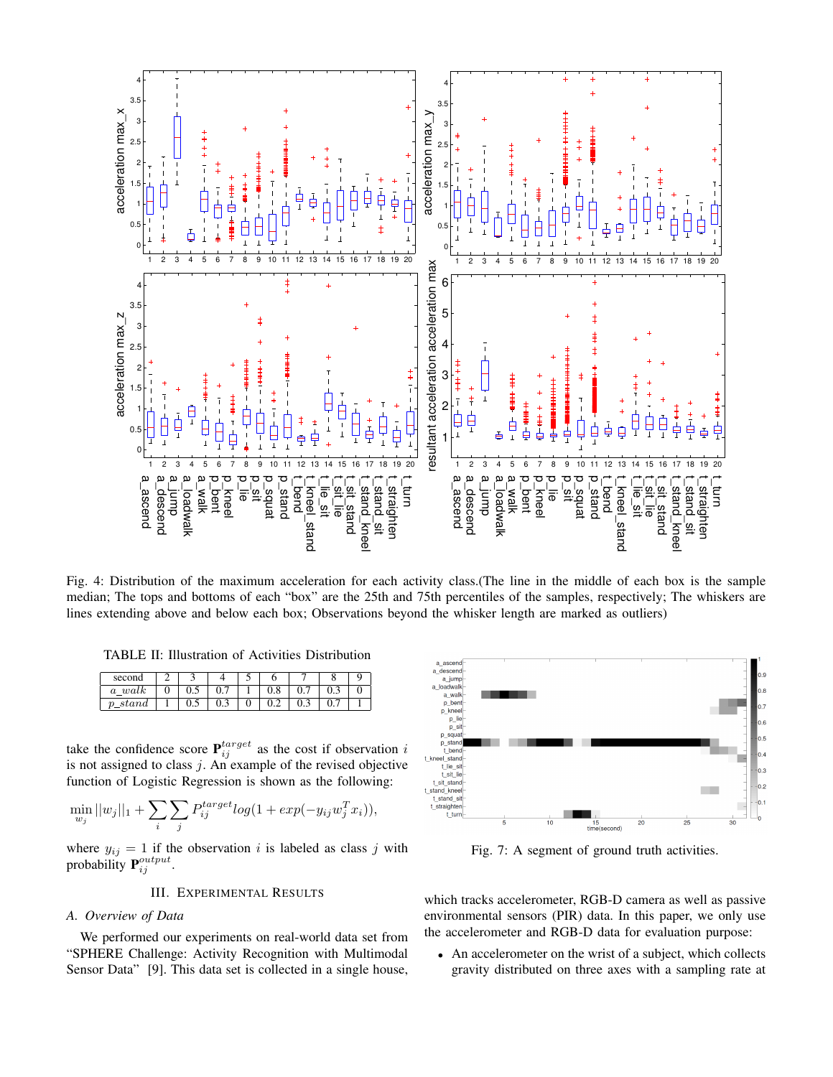

Fig. 4: Distribution of the maximum acceleration for each activity class.(The line in the middle of each box is the sample median; The tops and bottoms of each "box" are the 25th and 75th percentiles of the samples, respectively; The whiskers are lines extending above and below each box; Observations beyond the whisker length are marked as outliers)

| second     |     |     |     |     |     |  |
|------------|-----|-----|-----|-----|-----|--|
| $a\_walk$  | ∪.J |     | v.o |     | ∪.⊃ |  |
| $_{stand}$ | ∪.∪ | ∪.⊃ | ◡.∠ | ∪.⊃ | ν., |  |

take the confidence score  ${\bf P}_{ii}^{target}$ *ij* as the cost if observation *i* is not assigned to class *j*. An example of the revised objective function of Logistic Regression is shown as the following:

$$
\min_{w_j} ||w_j||_1 + \sum_i \sum_j P_{ij}^{target} log(1 + exp(-y_{ij}w_j^T x_i)),
$$

where  $y_{ij} = 1$  if the observation *i* is labeled as class *j* with probability  $P_{ij}^{output}$ .

## III. EXPERIMENTAL RESULTS

# *A. Overview of Data*

We performed our experiments on real-world data set from "SPHERE Challenge: Activity Recognition with Multimodal Sensor Data" [9]. This data set is collected in a single house,



Fig. 7: A segment of ground truth activities.

which tracks accelerometer, RGB-D camera as well as passive environmental sensors (PIR) data. In this paper, we only use the accelerometer and RGB-D data for evaluation purpose:

*•* An accelerometer on the wrist of a subject, which collects gravity distributed on three axes with a sampling rate at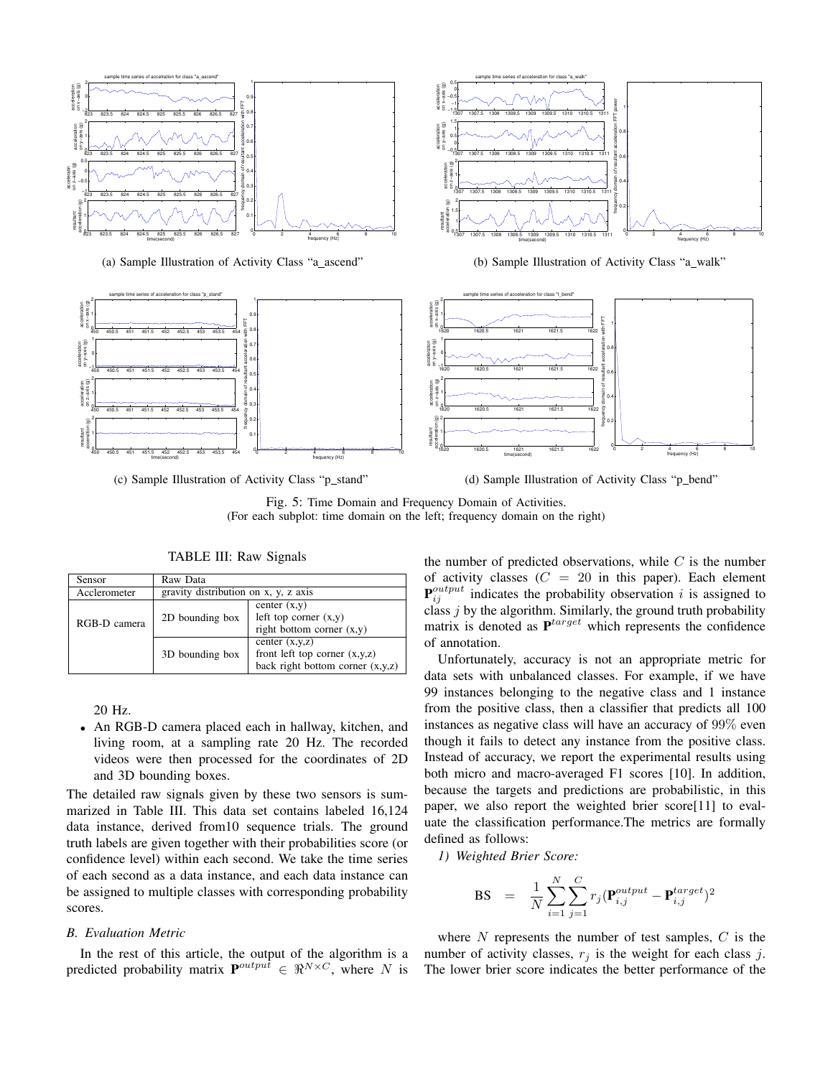

(a) Sample Illustration of Activity Class "a ascend"

(b) Sample Illustration of Activity Class "a\_walk"



(c) Sample Illustration of Activity Class "p\_stand"

(d) Sample Illustration of Activity Class "p\_bend"

Fig. 5: Time Domain and Frequency Domain of Activities. (For each subplot: time domain on the left; frequency domain on the right)

| Sensor       | Raw Data                             |                                                                                         |
|--------------|--------------------------------------|-----------------------------------------------------------------------------------------|
| Acclerometer | gravity distribution on x, y, z axis |                                                                                         |
| RGB-D camera | 2D bounding box                      | center $(x,y)$<br>left top corner $(x,y)$<br>right bottom corner $(x,y)$                |
|              | 3D bounding box                      | center $(x,y,z)$<br>front left top corner $(x,y,z)$<br>back right bottom corner (x,y,z) |

TABLE III: Raw Signals

20 Hz.

*•* An RGB-D camera placed each in hallway, kitchen, and living room, at a sampling rate 20 Hz. The recorded videos were then processed for the coordinates of 2D and 3D bounding boxes.

The detailed raw signals given by these two sensors is summarized in Table III. This data set contains labeled 16,124 data instance, derived from10 sequence trials. The ground truth labels are given together with their probabilities score (or confidence level) within each second. We take the time series of each second as a data instance, and each data instance can be assigned to multiple classes with corresponding probability scores.

# *B. Evaluation Metric*

In the rest of this article, the output of the algorithm is a predicted probability matrix  $\mathbf{P}^{output} \in \Re^{N \times C}$ , where *N* is the number of predicted observations, while *C* is the number of activity classes  $(C = 20$  in this paper). Each element  ${\bf P}_{ij}^{output}$  indicates the probability observation *i* is assigned to class *j* by the algorithm. Similarly, the ground truth probability matrix is denoted as P *target* which represents the confidence of annotation.

Unfortunately, accuracy is not an appropriate metric for data sets with unbalanced classes. For example, if we have 99 instances belonging to the negative class and 1 instance from the positive class, then a classifier that predicts all 100 instances as negative class will have an accuracy of 99% even though it fails to detect any instance from the positive class. Instead of accuracy, we report the experimental results using both micro and macro-averaged F1 scores [10]. In addition, because the targets and predictions are probabilistic, in this paper, we also report the weighted brier score[11] to evaluate the classification performance.The metrics are formally defined as follows:

*1) Weighted Brier Score:*

$$
\text{BS} = \frac{1}{N} \sum_{i=1}^{N} \sum_{j=1}^{C} r_j (\mathbf{P}_{i,j}^{output} - \mathbf{P}_{i,j}^{target})^2
$$

where *N* represents the number of test samples, *C* is the number of activity classes,  $r_j$  is the weight for each class  $j$ . The lower brier score indicates the better performance of the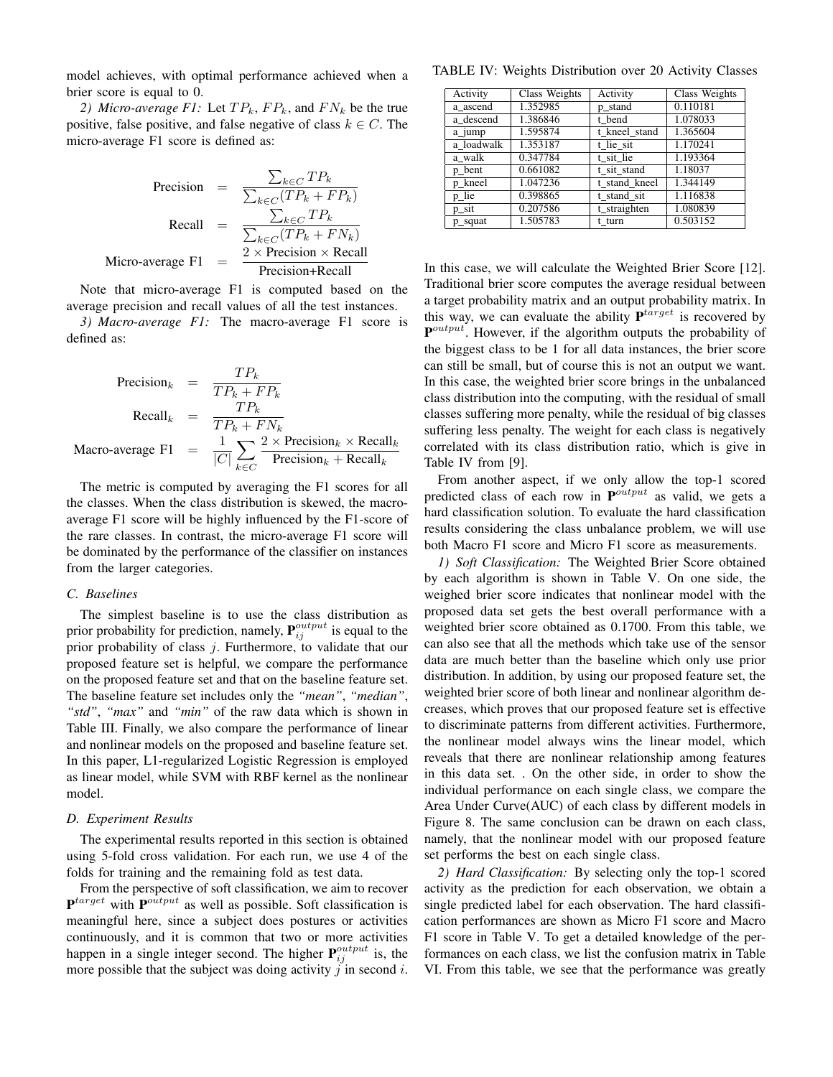model achieves, with optimal performance achieved when a brier score is equal to 0.

2) Micro-average F1: Let  $TP_k$ ,  $FP_k$ , and  $FN_k$  be the true positive, false positive, and false negative of class  $k \in C$ . The micro-average F1 score is defined as:

$$
\begin{array}{rcl}\n\text{Precision} & = & \frac{\sum_{k \in C} TP_k}{\sum_{k \in C} (TP_k + FP_k)} \\
\text{Recall} & = & \frac{\sum_{k \in C} TP_k}{\sum_{k \in C} (TP_k + FN_k)} \\
\text{Micro-average F1} & = & \frac{2 \times \text{Precision} \times \text{Recall}}{\text{Precision} + \text{Recall}}\n\end{array}
$$

Note that micro-average F1 is computed based on the average precision and recall values of all the test instances.

*3) Macro-average F1:* The macro-average F1 score is defined as:

$$
\begin{array}{rcl}\n\text{Precision}_k & = & \frac{TP_k}{TP_k + FP_k} \\
\text{Recall}_k & = & \frac{TP_k}{TP_k + FN_k} \\
\text{Macco-average F1} & = & \frac{1}{|C|} \sum_{k \in C} \frac{2 \times \text{Precision}_k \times \text{Recall}_k}{\text{Precision}_k + \text{Recall}_k}\n\end{array}
$$

The metric is computed by averaging the F1 scores for all the classes. When the class distribution is skewed, the macroaverage F1 score will be highly influenced by the F1-score of the rare classes. In contrast, the micro-average F1 score will be dominated by the performance of the classifier on instances from the larger categories.

#### *C. Baselines*

The simplest baseline is to use the class distribution as prior probability for prediction, namely,  $\mathbf{P}_{ij}^{output}$  is equal to the prior probability of class *j*. Furthermore, to validate that our proposed feature set is helpful, we compare the performance on the proposed feature set and that on the baseline feature set. The baseline feature set includes only the *"mean"*, *"median"*, *"std"*, *"max"* and *"min"* of the raw data which is shown in Table III. Finally, we also compare the performance of linear and nonlinear models on the proposed and baseline feature set. In this paper, L1-regularized Logistic Regression is employed as linear model, while SVM with RBF kernel as the nonlinear model.

### *D. Experiment Results*

The experimental results reported in this section is obtained using 5-fold cross validation. For each run, we use 4 of the folds for training and the remaining fold as test data.

From the perspective of soft classification, we aim to recover P<sup>target</sup> with P<sup>output</sup> as well as possible. Soft classification is meaningful here, since a subject does postures or activities continuously, and it is common that two or more activities happen in a single integer second. The higher  $\mathbf{P}_{ij}^{output}$  is, the more possible that the subject was doing activity  $\hat{j}$  in second  $\hat{i}$ .

TABLE IV: Weights Distribution over 20 Activity Classes

| Activity   | Class Weights | Activity      | Class Weights |
|------------|---------------|---------------|---------------|
| a ascend   | 1.352985      | p_stand       | 0.110181      |
| a descend  | 1.386846      | t bend        | 1.078033      |
| a_jump     | 1.595874      | t kneel stand | 1.365604      |
| a loadwalk | 1.353187      | t lie sit     | 1.170241      |
| a walk     | 0.347784      | t sit lie     | 1.193364      |
| p bent     | 0.661082      | t sit stand   | 1.18037       |
| p kneel    | 1.047236      | t stand kneel | 1.344149      |
| p_lie      | 0.398865      | t stand sit   | 1.116838      |
| p_sit      | 0.207586      | t straighten  | 1.080839      |
| p_squat    | 1.505783      | t turn        | 0.503152      |

In this case, we will calculate the Weighted Brier Score [12]. Traditional brier score computes the average residual between a target probability matrix and an output probability matrix. In this way, we can evaluate the ability  $\mathbf{P}^{target}$  is recovered by P<sup>output</sup>. However, if the algorithm outputs the probability of the biggest class to be 1 for all data instances, the brier score can still be small, but of course this is not an output we want. In this case, the weighted brier score brings in the unbalanced class distribution into the computing, with the residual of small classes suffering more penalty, while the residual of big classes suffering less penalty. The weight for each class is negatively correlated with its class distribution ratio, which is give in Table IV from [9].

From another aspect, if we only allow the top-1 scored predicted class of each row in  $\mathbf{P}^{output}$  as valid, we gets a hard classification solution. To evaluate the hard classification results considering the class unbalance problem, we will use both Macro F1 score and Micro F1 score as measurements.

*1) Soft Classification:* The Weighted Brier Score obtained by each algorithm is shown in Table V. On one side, the weighed brier score indicates that nonlinear model with the proposed data set gets the best overall performance with a weighted brier score obtained as 0.1700. From this table, we can also see that all the methods which take use of the sensor data are much better than the baseline which only use prior distribution. In addition, by using our proposed feature set, the weighted brier score of both linear and nonlinear algorithm decreases, which proves that our proposed feature set is effective to discriminate patterns from different activities. Furthermore, the nonlinear model always wins the linear model, which reveals that there are nonlinear relationship among features in this data set. . On the other side, in order to show the individual performance on each single class, we compare the Area Under Curve(AUC) of each class by different models in Figure 8. The same conclusion can be drawn on each class, namely, that the nonlinear model with our proposed feature set performs the best on each single class.

*2) Hard Classification:* By selecting only the top-1 scored activity as the prediction for each observation, we obtain a single predicted label for each observation. The hard classification performances are shown as Micro F1 score and Macro F1 score in Table V. To get a detailed knowledge of the performances on each class, we list the confusion matrix in Table VI. From this table, we see that the performance was greatly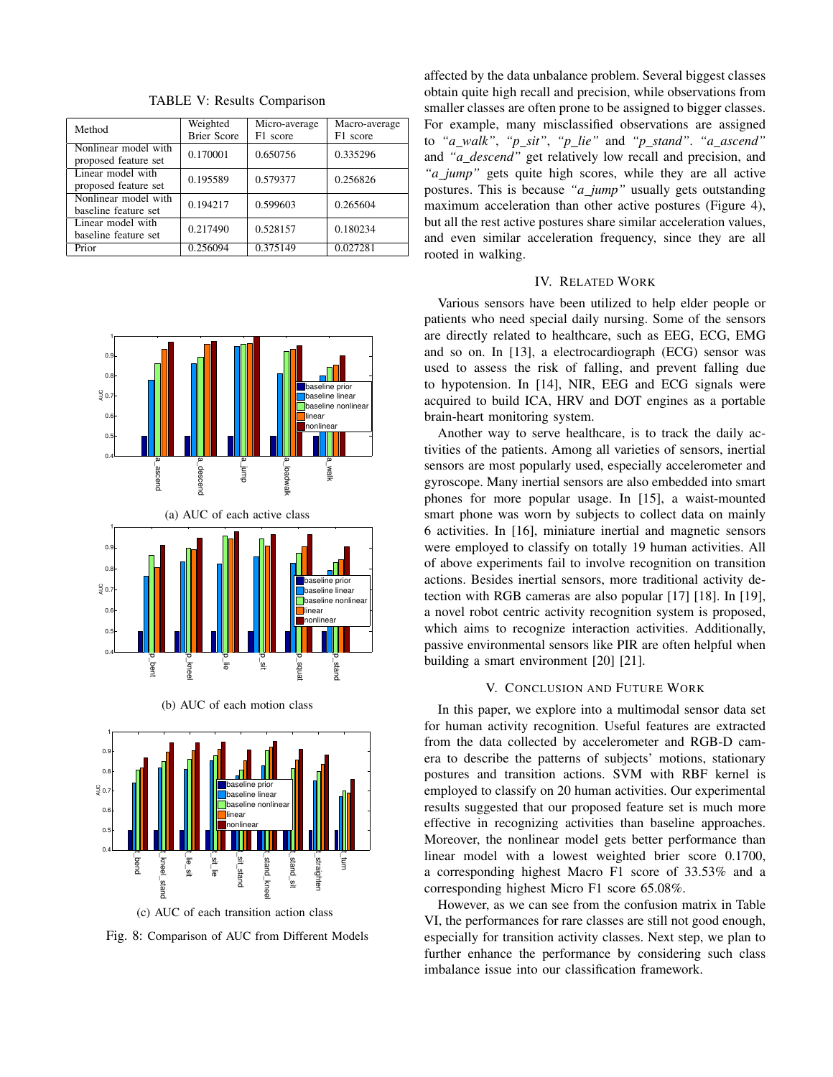| Method                                       | Weighted<br><b>Brier Score</b> | Micro-average<br>F1 score | Macro-average<br>F1 score |  |  |  |  |
|----------------------------------------------|--------------------------------|---------------------------|---------------------------|--|--|--|--|
| Nonlinear model with<br>proposed feature set | 0.170001                       | 0.650756                  | 0.335296                  |  |  |  |  |
| Linear model with<br>proposed feature set    | 0.195589                       | 0.579377                  | 0.256826                  |  |  |  |  |
| Nonlinear model with<br>baseline feature set | 0.194217                       | 0.599603                  | 0.265604                  |  |  |  |  |
| Linear model with<br>baseline feature set    | 0.217490                       | 0.528157                  | 0.180234                  |  |  |  |  |
| Prior                                        | 0.256094                       | 0.375149                  | 0.027281                  |  |  |  |  |

TABLE V: Results Comparison



(b) AUC of each motion class



(c) AUC of each transition action class

Fig. 8: Comparison of AUC from Different Models

affected by the data unbalance problem. Several biggest classes obtain quite high recall and precision, while observations from smaller classes are often prone to be assigned to bigger classes. For example, many misclassified observations are assigned to *"a walk"*, *"p sit"*, *"p lie"* and *"p stand"*. *"a ascend"* and "a\_descend" get relatively low recall and precision, and *"a jump"* gets quite high scores, while they are all active postures. This is because *"a jump"* usually gets outstanding maximum acceleration than other active postures (Figure 4), but all the rest active postures share similar acceleration values, and even similar acceleration frequency, since they are all rooted in walking.

## IV. RELATED WORK

Various sensors have been utilized to help elder people or patients who need special daily nursing. Some of the sensors are directly related to healthcare, such as EEG, ECG, EMG and so on. In [13], a electrocardiograph (ECG) sensor was used to assess the risk of falling, and prevent falling due to hypotension. In [14], NIR, EEG and ECG signals were acquired to build ICA, HRV and DOT engines as a portable brain-heart monitoring system.

Another way to serve healthcare, is to track the daily activities of the patients. Among all varieties of sensors, inertial sensors are most popularly used, especially accelerometer and gyroscope. Many inertial sensors are also embedded into smart phones for more popular usage. In [15], a waist-mounted smart phone was worn by subjects to collect data on mainly 6 activities. In [16], miniature inertial and magnetic sensors were employed to classify on totally 19 human activities. All of above experiments fail to involve recognition on transition actions. Besides inertial sensors, more traditional activity detection with RGB cameras are also popular [17] [18]. In [19], a novel robot centric activity recognition system is proposed, which aims to recognize interaction activities. Additionally, passive environmental sensors like PIR are often helpful when building a smart environment [20] [21].

## V. CONCLUSION AND FUTURE WORK

In this paper, we explore into a multimodal sensor data set for human activity recognition. Useful features are extracted from the data collected by accelerometer and RGB-D camera to describe the patterns of subjects' motions, stationary postures and transition actions. SVM with RBF kernel is employed to classify on 20 human activities. Our experimental results suggested that our proposed feature set is much more effective in recognizing activities than baseline approaches. Moreover, the nonlinear model gets better performance than linear model with a lowest weighted brier score 0.1700, a corresponding highest Macro F1 score of 33.53% and a corresponding highest Micro F1 score 65.08%.

However, as we can see from the confusion matrix in Table VI, the performances for rare classes are still not good enough, especially for transition activity classes. Next step, we plan to further enhance the performance by considering such class imbalance issue into our classification framework.